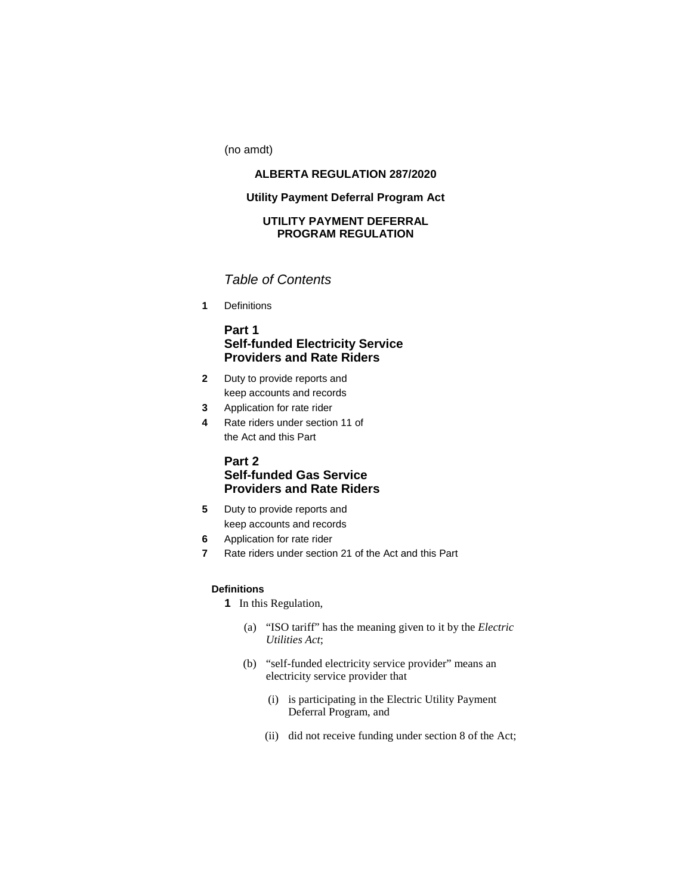(no amdt)

# **ALBERTA REGULATION 287/2020**

## **Utility Payment Deferral Program Act**

## **UTILITY PAYMENT DEFERRAL PROGRAM REGULATION**

# *Table of Contents*

**1** Definitions

## **Part 1 Self-funded Electricity Service Providers and Rate Riders**

- **2** Duty to provide reports and keep accounts and records
- **3** Application for rate rider
- **4** Rate riders under section 11 of the Act and this Part

# **Part 2 Self-funded Gas Service Providers and Rate Riders**

- **5** Duty to provide reports and keep accounts and records
- **6** Application for rate rider
- **7** Rate riders under section 21 of the Act and this Part

## **Definitions**

**1** In this Regulation,

- (a) "ISO tariff" has the meaning given to it by the *Electric Utilities Act*;
- (b) "self-funded electricity service provider" means an electricity service provider that
	- (i) is participating in the Electric Utility Payment Deferral Program, and
	- (ii) did not receive funding under section 8 of the Act;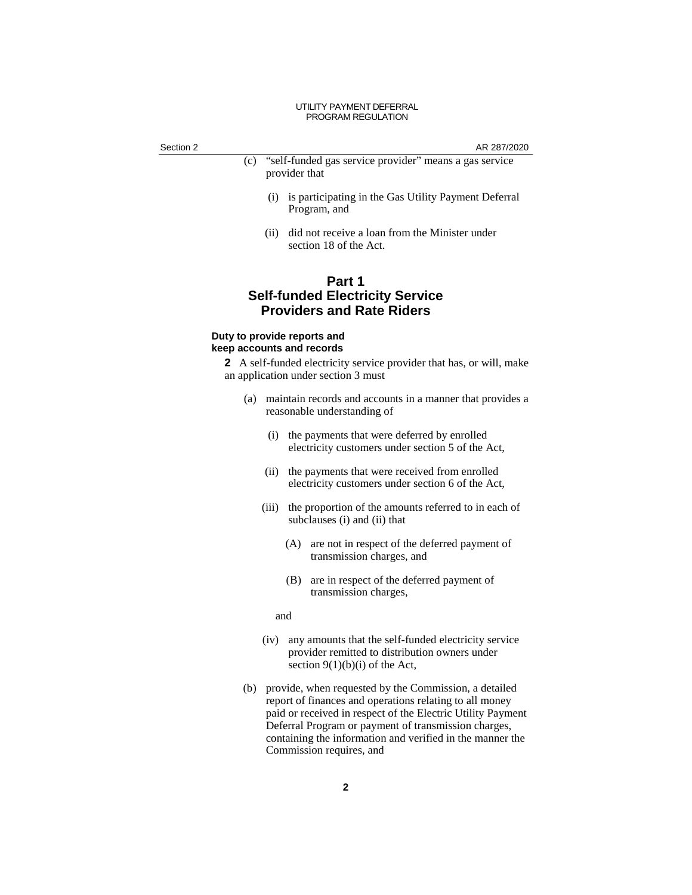Section 2 AR 287/2020

- (c) "self-funded gas service provider" means a gas service provider that
	- (i) is participating in the Gas Utility Payment Deferral Program, and
	- (ii) did not receive a loan from the Minister under section 18 of the Act.

# **Part 1 Self-funded Electricity Service Providers and Rate Riders**

### **Duty to provide reports and keep accounts and records**

**2** A self-funded electricity service provider that has, or will, make an application under section 3 must

- (a) maintain records and accounts in a manner that provides a reasonable understanding of
	- (i) the payments that were deferred by enrolled electricity customers under section 5 of the Act,
	- (ii) the payments that were received from enrolled electricity customers under section 6 of the Act,
	- (iii) the proportion of the amounts referred to in each of subclauses (i) and (ii) that
		- (A) are not in respect of the deferred payment of transmission charges, and
		- (B) are in respect of the deferred payment of transmission charges,

and

- (iv) any amounts that the self-funded electricity service provider remitted to distribution owners under section  $9(1)(b)(i)$  of the Act,
- (b) provide, when requested by the Commission, a detailed report of finances and operations relating to all money paid or received in respect of the Electric Utility Payment Deferral Program or payment of transmission charges, containing the information and verified in the manner the Commission requires, and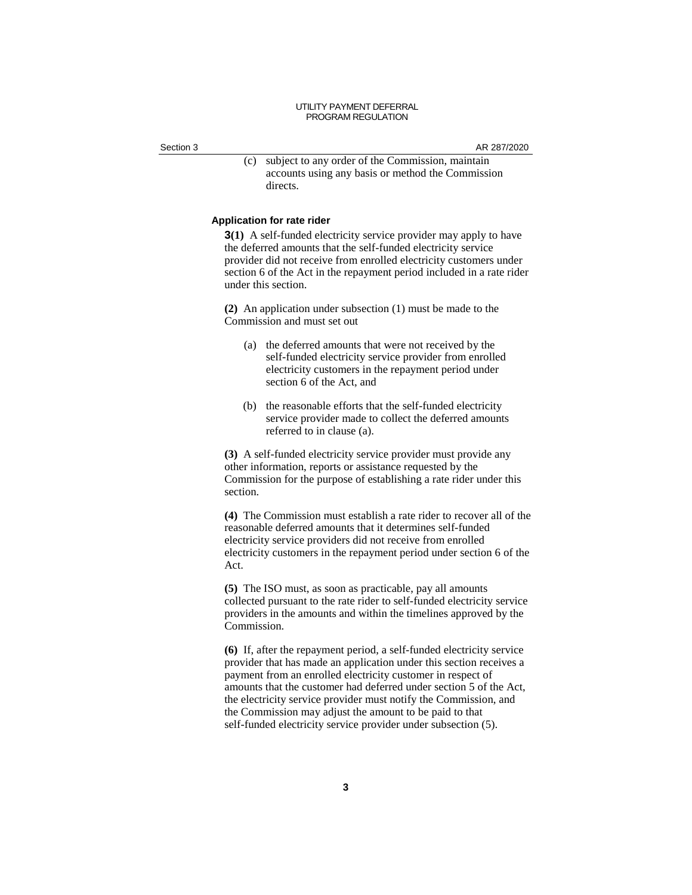Section 3 AR 287/2020

(c) subject to any order of the Commission, maintain accounts using any basis or method the Commission directs.

#### **Application for rate rider**

**3(1)** A self-funded electricity service provider may apply to have the deferred amounts that the self-funded electricity service provider did not receive from enrolled electricity customers under section 6 of the Act in the repayment period included in a rate rider under this section.

**(2)** An application under subsection (1) must be made to the Commission and must set out

- (a) the deferred amounts that were not received by the self-funded electricity service provider from enrolled electricity customers in the repayment period under section 6 of the Act, and
- (b) the reasonable efforts that the self-funded electricity service provider made to collect the deferred amounts referred to in clause (a).

**(3)** A self-funded electricity service provider must provide any other information, reports or assistance requested by the Commission for the purpose of establishing a rate rider under this section.

**(4)** The Commission must establish a rate rider to recover all of the reasonable deferred amounts that it determines self-funded electricity service providers did not receive from enrolled electricity customers in the repayment period under section 6 of the Act.

**(5)** The ISO must, as soon as practicable, pay all amounts collected pursuant to the rate rider to self-funded electricity service providers in the amounts and within the timelines approved by the Commission.

**(6)** If, after the repayment period, a self-funded electricity service provider that has made an application under this section receives a payment from an enrolled electricity customer in respect of amounts that the customer had deferred under section 5 of the Act, the electricity service provider must notify the Commission, and the Commission may adjust the amount to be paid to that self-funded electricity service provider under subsection (5).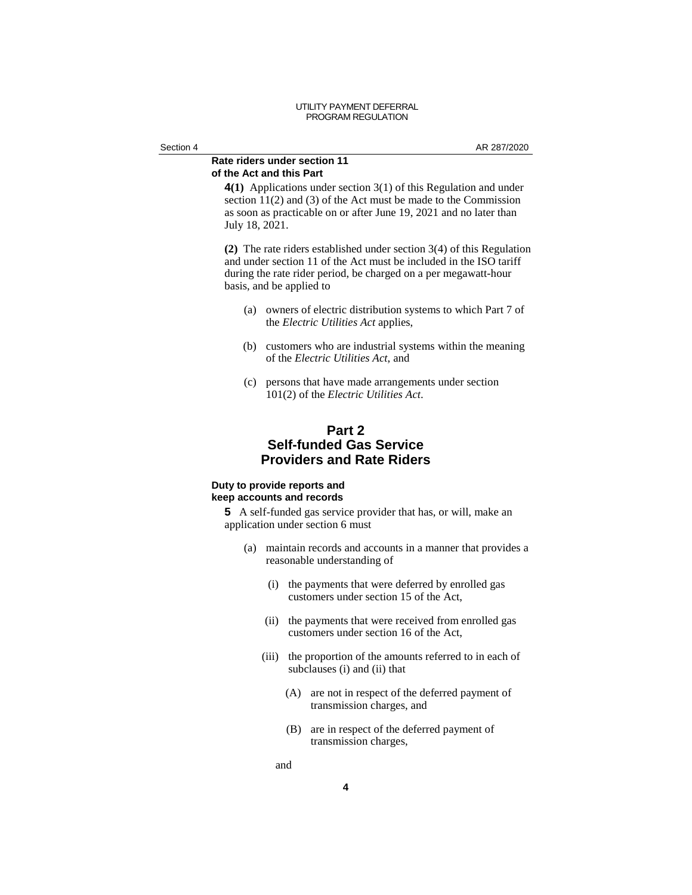### **Rate riders under section 11 of the Act and this Part**

**4(1)** Applications under section 3(1) of this Regulation and under section 11(2) and (3) of the Act must be made to the Commission as soon as practicable on or after June 19, 2021 and no later than July 18, 2021.

**(2)** The rate riders established under section 3(4) of this Regulation and under section 11 of the Act must be included in the ISO tariff during the rate rider period, be charged on a per megawatt-hour basis, and be applied to

- (a) owners of electric distribution systems to which Part 7 of the *Electric Utilities Act* applies,
- (b) customers who are industrial systems within the meaning of the *Electric Utilities Act*, and
- (c) persons that have made arrangements under section 101(2) of the *Electric Utilities Act*.

# **Part 2 Self-funded Gas Service Providers and Rate Riders**

### **Duty to provide reports and keep accounts and records**

**5** A self-funded gas service provider that has, or will, make an application under section 6 must

- (a) maintain records and accounts in a manner that provides a reasonable understanding of
	- (i) the payments that were deferred by enrolled gas customers under section 15 of the Act,
	- (ii) the payments that were received from enrolled gas customers under section 16 of the Act,
	- (iii) the proportion of the amounts referred to in each of subclauses (i) and (ii) that
		- (A) are not in respect of the deferred payment of transmission charges, and
		- (B) are in respect of the deferred payment of transmission charges,

and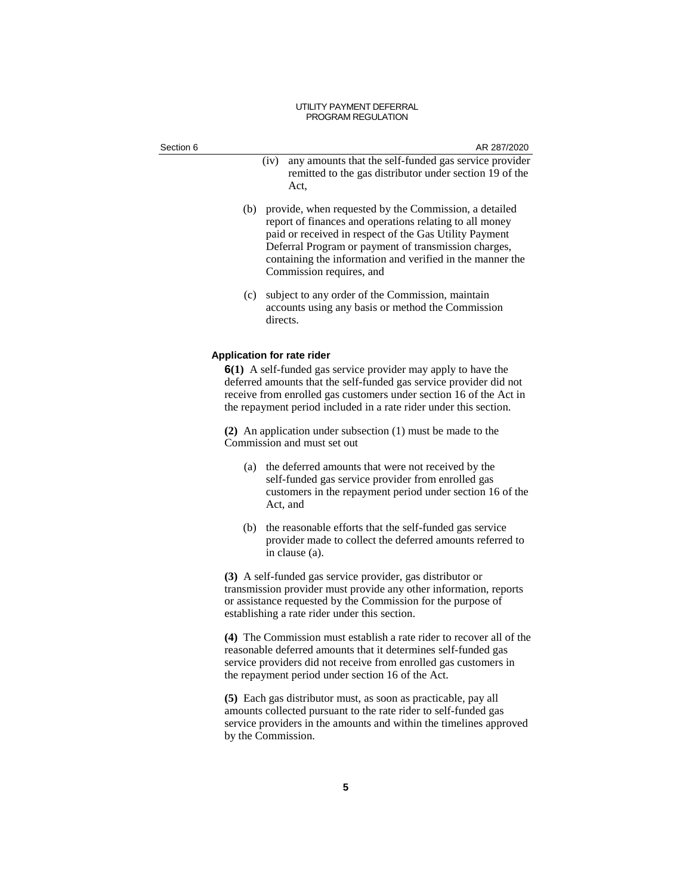| Section 6 | AR 287/2020                                                                                                                                                                                                                                                                                                                     |
|-----------|---------------------------------------------------------------------------------------------------------------------------------------------------------------------------------------------------------------------------------------------------------------------------------------------------------------------------------|
|           | any amounts that the self-funded gas service provider<br>(iv)<br>remitted to the gas distributor under section 19 of the<br>Act,                                                                                                                                                                                                |
|           | (b) provide, when requested by the Commission, a detailed<br>report of finances and operations relating to all money<br>paid or received in respect of the Gas Utility Payment<br>Deferral Program or payment of transmission charges,<br>containing the information and verified in the manner the<br>Commission requires, and |
|           | subject to any order of the Commission, maintain<br>(c)<br>accounts using any basis or method the Commission<br>directs.                                                                                                                                                                                                        |
|           | <b>Application for rate rider</b>                                                                                                                                                                                                                                                                                               |
|           | <b>6(1)</b> A self-funded gas service provider may apply to have the<br>deferred amounts that the self-funded gas service provider did not<br>receive from enrolled gas customers under section 16 of the Act in<br>the repayment period included in a rate rider under this section.                                           |
|           | (2) An application under subsection $(1)$ must be made to the<br>Commission and must set out                                                                                                                                                                                                                                    |
|           | the deferred amounts that were not received by the<br>(a)<br>self-funded gas service provider from enrolled gas<br>customers in the repayment period under section 16 of the<br>Act, and                                                                                                                                        |
|           | the reasonable efforts that the self-funded gas service<br>(b)<br>provider made to collect the deferred amounts referred to<br>in clause (a).                                                                                                                                                                                   |
|           | (3) A self-funded gas service provider, gas distributor or<br>transmission provider must provide any other information, reports<br>or assistance requested by the Commission for the purpose of<br>establishing a rate rider under this section.                                                                                |
|           | (4) The Commission must establish a rate rider to recover all of the<br>reasonable deferred amounts that it determines self-funded gas<br>service providers did not receive from enrolled gas customers in<br>the repayment period under section 16 of the Act.                                                                 |
|           | (5) Each gas distributor must, as soon as practicable, pay all<br>amounts collected pursuant to the rate rider to self-funded gas<br>service providers in the amounts and within the timelines approved<br>by the Commission.                                                                                                   |
|           |                                                                                                                                                                                                                                                                                                                                 |
|           | 5                                                                                                                                                                                                                                                                                                                               |